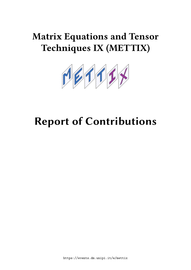## **Matrix Equations and Tensor Techniques IX (METTIX)**



# **Report of Contributions**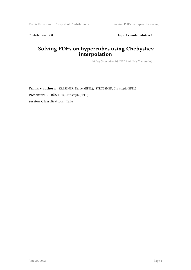Contribution ID: 8 Type: **Extended abstract** 

## **Solving PDEs on hypercubes using Chebyshev interpolation**

*Friday, September 10, 2021 2:40 PM (20 minutes)*

**Primary authors:** KRESSNER, Daniel (EPFL); STRÖSSNER, Christoph (EPFL) **Presenter:** STRÖSSNER, Christoph (EPFL) **Session Classification:** Talks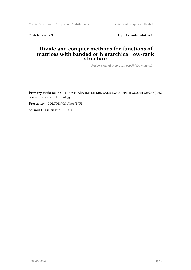Matrix Equations ... / Report of Contributions Divide and conquer methods for f...

Contribution ID: 9 Type: Extended abstract

#### **Divide and conquer methods for functions of matrices with banded or hierarchical low-rank structure**

*Friday, September 10, 2021 3:20 PM (20 minutes)*

**Primary authors:** CORTINOVIS, Alice (EPFL); KRESSNER, Daniel (EPFL); MASSEI, Stefano (Eindhoven University of Technology)

**Presenter:** CORTINOVIS, Alice (EPFL)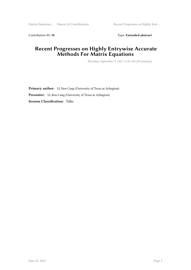Contribution ID: 10 **Type:** Extended abstract

## **Recent Progresses on Highly Entrywise Accurate Methods For Matrix Equations**

*Thursday, September 9, 2021 11:30 AM (20 minutes)*

**Primary author:** LI, Ren-Cang (University of Texas at Arlington) **Presenter:** LI, Ren-Cang (University of Texas at Arlington) **Session Classification:** Talks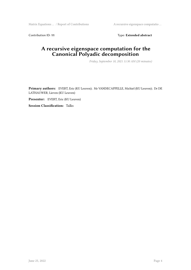Matrix Equations … / Report of Contributions A recursive eigenspace computatio …

Contribution ID: 11 **Type: Extended abstract** 

## **A recursive eigenspace computation for the Canonical Polyadic decomposition**

*Friday, September 10, 2021 11:30 AM (20 minutes)*

**Primary authors:** EVERT, Eric (KU Leuven); Mr VANDECAPPELLE, Michiel (KU Leuven); Dr DE LATHAUWER, Lieven (KU Leuven)

**Presenter:** EVERT, Eric (KU Leuven)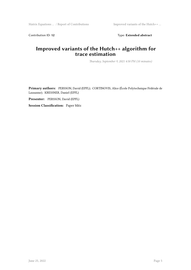Contribution ID: 12 Type: Extended abstract

#### **Improved variants of the Hutch++ algorithm for trace estimation**

*Thursday, September 9, 2021 4:50 PM (10 minutes)*

**Primary authors:** PERSSON, David (EPFL); CORTINOVIS, Alice (École Polytechnique Fédérale de Lausanne); KRESSNER, Daniel (EPFL)

**Presenter:** PERSSON, David (EPFL)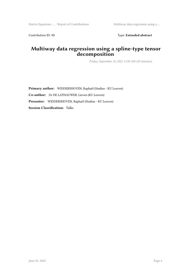Contribution ID: 13 Type: Extended abstract

#### **Multiway data regression using a spline-type tensor decomposition**

*Friday, September 10, 2021 11:50 AM (20 minutes)*

**Primary author:** WIDDERSHOVEN, Raphaël (Stadius - KU Leuven) **Co-author:** Dr DE LATHAUWER, Lieven (KU Leuven) **Presenter:** WIDDERSHOVEN, Raphaël (Stadius - KU Leuven) **Session Classification:** Talks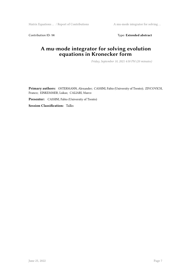Matrix Equations ... / Report of Contributions A mu-mode integrator for solving ...

Contribution ID: 14 Type: **Extended abstract** 

## **A mu-mode integrator for solving evolution equations in Kronecker form**

*Friday, September 10, 2021 4:50 PM (20 minutes)*

**Primary authors:** OSTERMANN, Alexander; CASSINI, Fabio (University of Trento); ZIVCOVICH, Franco; EINKEMMER, Lukas; CALIARI, Marco

**Presenter:** CASSINI, Fabio (University of Trento)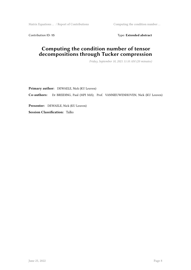Matrix Equations … / Report of Contributions Computing the condition number …

Contribution ID: 15 Type: Extended abstract

#### **Computing the condition number of tensor decompositions through Tucker compression**

*Friday, September 10, 2021 11:10 AM (20 minutes)*

**Primary author:** DEWAELE, Nick (KU Leuven) **Co-authors:** Dr BREIDING, Paul (MPI MiS); Prof. VANNIEUWENHOVEN, Nick (KU Leuven) **Presenter:** DEWAELE, Nick (KU Leuven)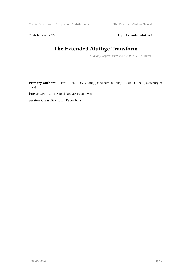Matrix Equations ... / Report of Contributions The Extended Aluthge Transform

Contribution ID: 16 **Type:** Extended abstract

## **The Extended Aluthge Transform**

*Thursday, September 9, 2021 5:20 PM (10 minutes)*

Primary authors: Prof. BENHIDA, Chafiq (Universite de Lille); CURTO, Raul (University of Iowa)

**Presenter:** CURTO, Raul (University of Iowa)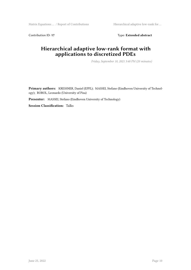Matrix Equations … / Report of Contributions Hierarchical adaptive low-rank for …

Contribution ID: 17 Type: Extended abstract

## **Hierarchical adaptive low-rank format with applications to discretized PDEs**

*Friday, September 10, 2021 3:40 PM (20 minutes)*

**Primary authors:** KRESSNER, Daniel (EPFL); MASSEI, Stefano (Eindhoven University of Technology); ROBOL, Leonardo (University of Pisa)

**Presenter:** MASSEI, Stefano (Eindhoven University of Technology)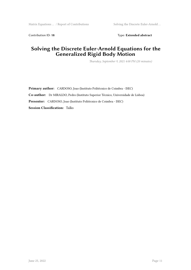Contribution ID: 18 Type: Extended abstract

## **Solving the Discrete Euler-Arnold Equations for the Generalized Rigid Body Motion**

*Thursday, September 9, 2021 4:00 PM (20 minutes)*

**Primary author:** CARDOSO, Joao (Instituto Politécnico de Coimbra - ISEC) **Co-author:** Dr MIRALDO, Pedro (Instituto Superior Técnico, Universidade de Lisboa) **Presenter:** CARDOSO, Joao (Instituto Politécnico de Coimbra - ISEC) **Session Classification:** Talks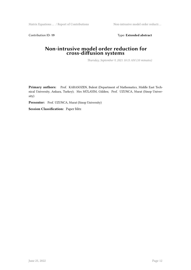Matrix Equations … / Report of Contributions Non-intrusive model order reducti …

Contribution ID: 19 Type: Extended abstract

#### **Non-intrusive model order reduction for cross-diffusion systems**

*Thursday, September 9, 2021 10:15 AM (10 minutes)*

Primary authors: Prof. KARASOZEN, Bulent (Department of Mathematics, Middle East Technical University, Ankara, Turkey); Mrs MÜLAYIM, Gülden; Prof. UZUNCA, Murat (Sinop University)

**Presenter:** Prof. UZUNCA, Murat (Sinop University)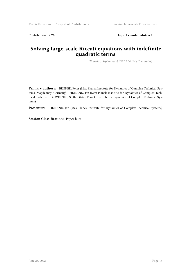Contribution ID: 20 **Type:** Extended abstract

#### **Solving large-scale Riccati equations with indefinite quadratic terms**

*Thursday, September 9, 2021 5:00 PM (10 minutes)*

**Primary authors:** BENNER, Peter (Max Planck Institute for Dynamics of Complex Technical Systems, Magdeburg, Germany); HEILAND, Jan (Max Planck Institute for Dynamics of Complex Technical Systems); Dr WERNER, Steffen (Max Planck Institute for Dynamics of Complex Technical Systems)

**Presenter:** HEILAND, Jan (Max Planck Institute for Dynamics of Complex Technical Systems)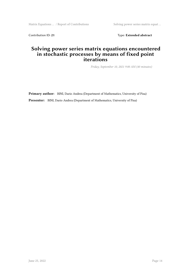Matrix Equations ... / Report of Contributions Solving power series matrix equat ...

Contribution ID: 21 Type: Extended abstract

#### **Solving power series matrix equations encountered in stochastic processes by means of fixed point iterations**

*Friday, September 10, 2021 9:00 AM (40 minutes)*

**Primary author:** BINI, Dario Andrea (Department of Mathematics, University of Pisa) **Presenter:** BINI, Dario Andrea (Department of Mathematics, University of Pisa)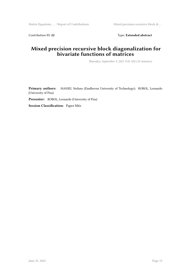Contribution ID: 22 Type: Extended abstract

#### **Mixed precision recursive block diagonalization for bivariate functions of matrices**

*Thursday, September 9, 2021 9:45 AM (10 minutes)*

**Primary authors:** MASSEI, Stefano (Eindhoven University of Technology); ROBOL, Leonardo (University of Pisa)

**Presenter:** ROBOL, Leonardo (University of Pisa)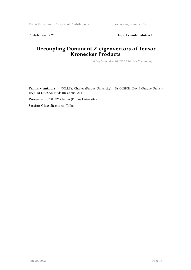Matrix Equations ... / Report of Contributions Decoupling Dominant Z-...

Contribution ID: 23 Type: Extended abstract

#### **Decoupling Dominant Z-eigenvectors of Tensor Kronecker Products**

*Friday, September 10, 2021 5:10 PM (20 minutes)*

Primary authors: COLLEY, Charles (Purdue University); Dr GLEICH, David (Purdue University); Dr NASSAR, Huda (Relational AI )

**Presenter:** COLLEY, Charles (Purdue University)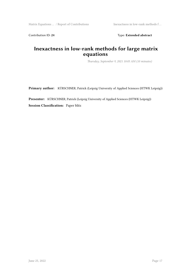Contribution ID: 24 Type: Extended abstract

## **Inexactness in low-rank methods for large matrix equations**

*Thursday, September 9, 2021 10:05 AM (10 minutes)*

**Primary author:** KÜRSCHNER, Patrick (Leipzig University of Applied Sciences (HTWK Leipzig))

**Presenter:** KÜRSCHNER, Patrick (Leipzig University of Applied Sciences (HTWK Leipzig)) **Session Classification:** Paper blitz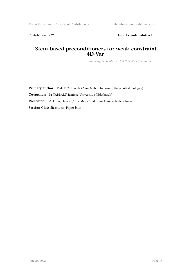Contribution ID: 25 Type: Extended abstract

#### **Stein-based preconditioners for weak-constraint 4D-Var**

*Thursday, September 9, 2021 9:55 AM (10 minutes)*

**Primary author:** PALITTA, Davide (Alma Mater Studiorum, Università di Bologna)

**Co-author:** Dr TABEART, Jemima (University of Edinburgh)

**Presenter:** PALITTA, Davide (Alma Mater Studiorum, Università di Bologna)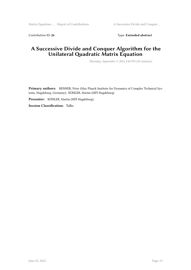Contribution ID: 26 Type: Extended abstract

#### **A Successive Divide and Conquer Algorithm for the Unilateral Quadratic Matrix Equation**

*Thursday, September 9, 2021 3:40 PM (20 minutes)*

**Primary authors:** BENNER, Peter (Max Planck Institute for Dynamics of Complex Technical Systems, Magdeburg, Germany); KÖHLER, Martin (MPI Magdeburg)

**Presenter:** KÖHLER, Martin (MPI Magdeburg)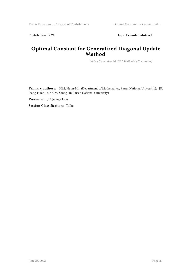Contribution ID: 28 Type: Extended abstract

#### **Optimal Constant for Generalized Diagonal Update Method**

*Friday, September 10, 2021 10:05 AM (20 minutes)*

**Primary authors:** KIM, Hyun-Min (Department of Mathematics, Pusan National University); JU, Jeong-Hoon; Mr KIM, Young-Jin (Pusan National University)

**Presenter:** JU, Jeong-Hoon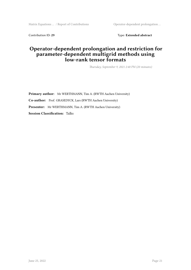Matrix Equations … / Report of Contributions Operator-dependent prolongation …

Contribution ID: 29 Type: Extended abstract

#### **Operator-dependent prolongation and restriction for parameter-dependent multigrid methods using low-rank tensor formats**

*Thursday, September 9, 2021 2:40 PM (20 minutes)*

**Primary author:** Mr WERTHMANN, Tim A. (RWTH Aachen University) **Co-author:** Prof. GRASEDYCK, Lars (RWTH Aachen University) **Presenter:** Mr WERTHMANN, Tim A. (RWTH Aachen University) **Session Classification:** Talks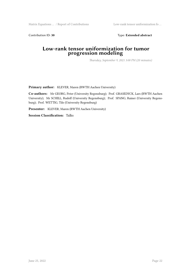Matrix Equations … / Report of Contributions Low-rank tensor uniformization fo …

Contribution ID: 30 **Type:** Extended abstract

#### **Low-rank tensor uniformization for tumor progression modeling**

*Thursday, September 9, 2021 3:00 PM (20 minutes)*

**Primary author:** KLEVER, Maren (RWTH Aachen University)

**Co-authors:** Mr GEORG, Peter (University Regensburg); Prof. GRASEDYCK, Lars (RWTH Aachen University); Mr SCHILL, Rudolf (University Regensburg); Prof. SPANG, Rainer (University Regensburg); Prof. WETTIG, Tilo (University Regensburg)

**Presenter:** KLEVER, Maren (RWTH Aachen University)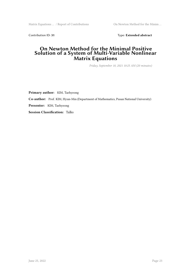Matrix Equations ... / Report of Contributions On Newton Method for the Minim ...

Contribution ID: 31 Type: Extended abstract

#### **On Newton Method for the Minimal Positive Solution of a System of Multi-Variable Nonlinear Matrix Equations**

*Friday, September 10, 2021 10:25 AM (20 minutes)*

**Primary author:** KIM, Taehyeong **Co-author:** Prof. KIM, Hyun-Min (Department of Mathematics, Pusan National University) **Presenter:** KIM, Taehyeong **Session Classification:** Talks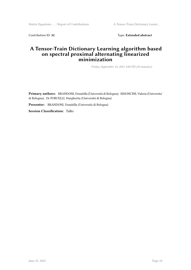Matrix Equations … / Report of Contributions <br> A Tensor-Train Dictionary Learni …

Contribution ID: 32 Type: Extended abstract

#### **A Tensor-Train Dictionary Learning algorithm based on spectral proximal alternating linearized minimization**

*Friday, September 10, 2021 3:00 PM (20 minutes)*

**Primary authors:** BRANDONI, Domitilla (Università di Bologna); SIMONCINI, Valeria (Universita' di Bologna); Dr PORCELLI, Margherita (Università di Bologna)

**Presenter:** BRANDONI, Domitilla (Università di Bologna)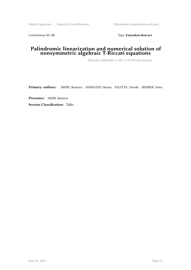Contribution ID: 33 Type: Extended abstract

#### **Palindromic linearization and numerical solution of nonsymmetric algebraic T-Riccati equations**

*Thursday, September 9, 2021 12:10 PM (20 minutes)*

**Primary authors:** MEINI, Beatrice; IANNAZZO, Bruno; PALITTA, Davide; BENNER, Peter

**Presenter:** MEINI, Beatrice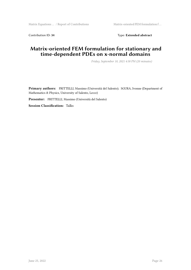Contribution ID: 34 Type: **Extended abstract** 

#### **Matrix-oriented FEM formulation for stationary and time-dependent PDEs on x-normal domains**

*Friday, September 10, 2021 4:30 PM (20 minutes)*

**Primary authors:** FRITTELLI, Massimo (Università del Salento); SGURA, Ivonne (Department of Mathematics & Physics, University of Salento, Lecce)

**Presenter:** FRITTELLI, Massimo (Università del Salento)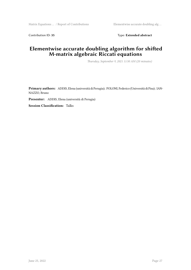Contribution ID: 35 Type: Extended abstract

#### **Elementwise accurate doubling algorithm for shifted M-matrix algebraic Riccati equations**

*Thursday, September 9, 2021 11:50 AM (20 minutes)*

**Primary authors:** ADDIS, Elena (università di Perugia); POLONI, Federico (Università di Pisa); IAN-NAZZO, Bruno

**Presenter:** ADDIS, Elena (università di Perugia)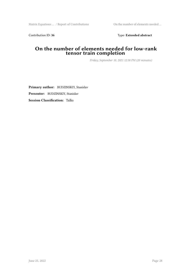Contribution ID: 36 Type: Extended abstract

#### **On the number of elements needed for low-rank tensor train completion**

*Friday, September 10, 2021 12:30 PM (20 minutes)*

**Primary author:** BUDZINSKIY, Stanislav **Presenter:** BUDZINSKIY, Stanislav **Session Classification:** Talks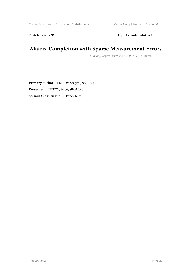Contribution ID: 37 Type: Extended abstract

## **Matrix Completion with Sparse Measurement Errors**

*Thursday, September 9, 2021 5:30 PM (10 minutes)*

**Primary author:** PETROV, Sergey (INM RAS) **Presenter:** PETROV, Sergey (INM RAS) **Session Classification:** Paper blitz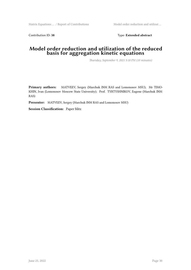Contribution ID: 38 Type: Extended abstract

#### **Model order reduction and utilization of the reduced basis for aggregation kinetic equations**

*Thursday, September 9, 2021 5:10 PM (10 minutes)*

**Primary authors:** MATVEEV, Sergey (Marchuk INM RAS and Lomonosov MSU); Mr TIMO-KHIN, Ivan (Lomonosov Moscow State University); Prof. TYRTYSHNIKOV, Eugene (Marchuk INM RAS)

**Presenter:** MATVEEV, Sergey (Marchuk INM RAS and Lomonosov MSU)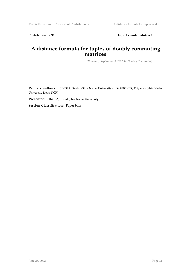Contribution ID: 39 Type: Extended abstract

#### **A distance formula for tuples of doubly commuting matrices**

*Thursday, September 9, 2021 10:25 AM (10 minutes)*

**Primary authors:** SINGLA, Sushil (Shiv Nadar University); Dr GROVER, Priyanka (Shiv Nadar University Delhi NCR)

**Presenter:** SINGLA, Sushil (Shiv Nadar University)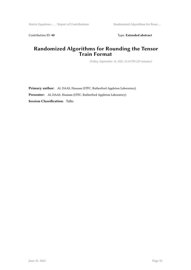Contribution ID: 40 **Type:** Extended abstract

#### **Randomized Algorithms for Rounding the Tensor Train Format**

*Friday, September 10, 2021 12:10 PM (20 minutes)*

**Primary author:** AL DAAS, Hussam (STFC, Rutherford Appleton Laboratory) **Presenter:** AL DAAS, Hussam (STFC, Rutherford Appleton Laboratory) **Session Classification:** Talks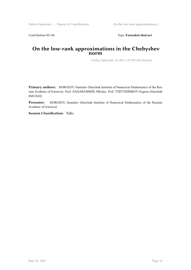Contribution ID: 41 **Type:** Extended abstract

#### **On the low-rank approximations in the Chebyshev norm**

*Friday, September 10, 2021 5:30 PM (20 minutes)*

**Primary authors:** MOROZOV, Stanislav (Marchuk Institute of Numerical Mathematics of the Russian Academy of Sciences); Prof. ZAMARASHKIN, Nikolai; Prof. TYRTYSHNIKOV, Eugene (Marchuk INM RAS)

**Presenter:** MOROZOV, Stanislav (Marchuk Institute of Numerical Mathematics of the Russian Academy of Sciences)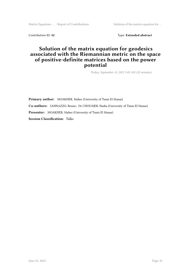Matrix Equations ... / Report of Contributions Solution of the matrix equation for ...

Contribution ID: 42 **Type: Extended abstract** 

#### **Solution of the matrix equation for geodesics associated with the Riemannian metric on the space of positive-definite matrices based on the power potential**

*Friday, September 10, 2021 9:45 AM (20 minutes)*

**Primary author:** MOAKHER, Maher (University of Tunis El Manar) **Co-authors:** IANNAZZO, Bruno; Dr CHOUAIEB, Nadia (University of Tunis El Manar) **Presenter:** MOAKHER, Maher (University of Tunis El Manar) **Session Classification:** Talks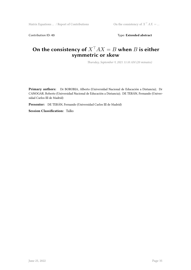Contribution ID: 43 Type: Extended abstract

## On the consistency of  $X<sup>T</sup> AX = B$  when *B* is either **symmetric or skew**

*Thursday, September 9, 2021 11:10 AM (20 minutes)*

**Primary authors:** Dr BOROBIA, Alberto (Universidad Nacional de Educación a Distancia); Dr CANOGAR, Roberto (Universidad Nacional de Educación a Distancia); DE TERÁN, Fernando (Universidad Carlos III de Madrid)

**Presenter:** DE TERÁN, Fernando (Universidad Carlos III de Madrid)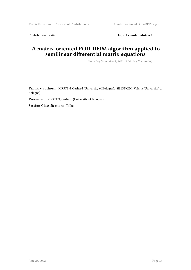Contribution ID: 44 Type: **Extended abstract** 

#### **A matrix-oriented POD-DEIM algorithm applied to semilinear differential matrix equations**

*Thursday, September 9, 2021 12:30 PM (20 minutes)*

**Primary authors:** KIRSTEN, Gerhard (University of Bologna); SIMONCINI, Valeria (Universita' di Bologna)

**Presenter:** KIRSTEN, Gerhard (University of Bologna)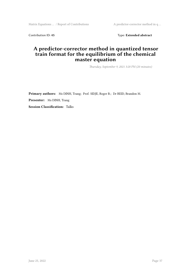Matrix Equations ... / Report of Contributions A predictor-corrector method in q ...

Contribution ID: 45 Type: Extended abstract

#### **A predictor-corrector method in quantized tensor train format for the equilibrium of the chemical master equation**

*Thursday, September 9, 2021 3:20 PM (20 minutes)*

**Primary authors:** Ms DINH, Trang; Prof. SIDJE, Roger B.; Dr REID, Brandon M. **Presenter:** Ms DINH, Trang **Session Classification:** Talks